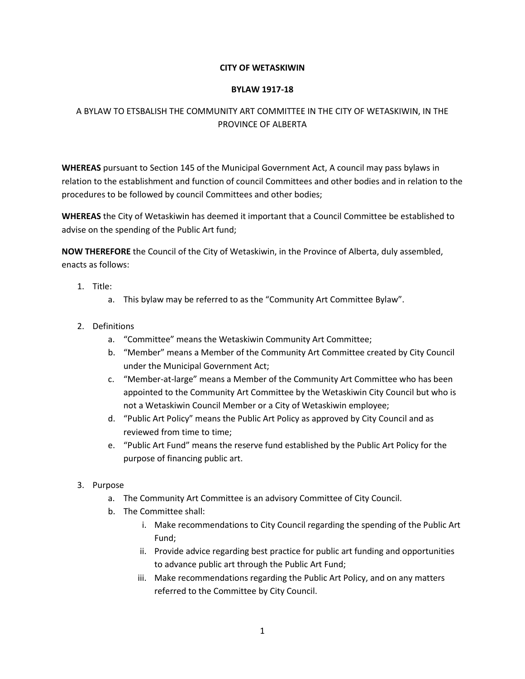### **CITY OF WETASKIWIN**

### **BYLAW 1917-18**

# A BYLAW TO ETSBALISH THE COMMUNITY ART COMMITTEE IN THE CITY OF WETASKIWIN, IN THE PROVINCE OF ALBERTA

**WHEREAS** pursuant to Section 145 of the Municipal Government Act, A council may pass bylaws in relation to the establishment and function of council Committees and other bodies and in relation to the procedures to be followed by council Committees and other bodies;

**WHEREAS** the City of Wetaskiwin has deemed it important that a Council Committee be established to advise on the spending of the Public Art fund;

**NOW THEREFORE** the Council of the City of Wetaskiwin, in the Province of Alberta, duly assembled, enacts as follows:

- 1. Title:
	- a. This bylaw may be referred to as the "Community Art Committee Bylaw".
- 2. Definitions
	- a. "Committee" means the Wetaskiwin Community Art Committee;
	- b. "Member" means a Member of the Community Art Committee created by City Council under the Municipal Government Act;
	- c. "Member-at-large" means a Member of the Community Art Committee who has been appointed to the Community Art Committee by the Wetaskiwin City Council but who is not a Wetaskiwin Council Member or a City of Wetaskiwin employee;
	- d. "Public Art Policy" means the Public Art Policy as approved by City Council and as reviewed from time to time;
	- e. "Public Art Fund" means the reserve fund established by the Public Art Policy for the purpose of financing public art.
- 3. Purpose
	- a. The Community Art Committee is an advisory Committee of City Council.
	- b. The Committee shall:
		- i. Make recommendations to City Council regarding the spending of the Public Art Fund;
		- ii. Provide advice regarding best practice for public art funding and opportunities to advance public art through the Public Art Fund;
		- iii. Make recommendations regarding the Public Art Policy, and on any matters referred to the Committee by City Council.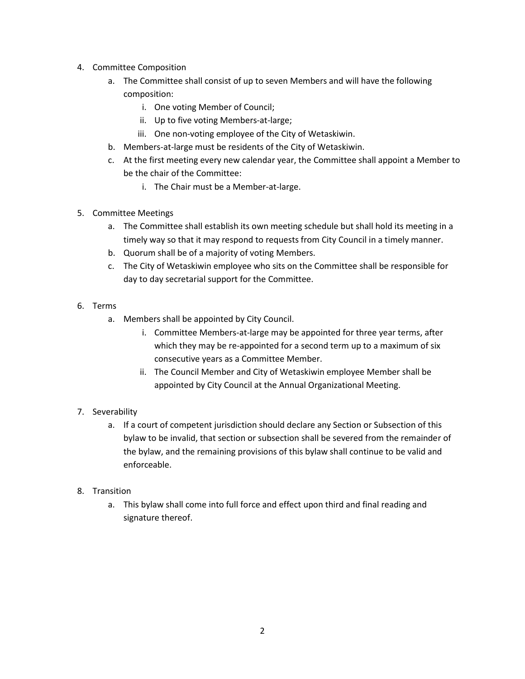- 4. Committee Composition
	- a. The Committee shall consist of up to seven Members and will have the following composition:
		- i. One voting Member of Council;
		- ii. Up to five voting Members-at-large;
		- iii. One non-voting employee of the City of Wetaskiwin.
	- b. Members-at-large must be residents of the City of Wetaskiwin.
	- c. At the first meeting every new calendar year, the Committee shall appoint a Member to be the chair of the Committee:
		- i. The Chair must be a Member-at-large.
- 5. Committee Meetings
	- a. The Committee shall establish its own meeting schedule but shall hold its meeting in a timely way so that it may respond to requests from City Council in a timely manner.
	- b. Quorum shall be of a majority of voting Members.
	- c. The City of Wetaskiwin employee who sits on the Committee shall be responsible for day to day secretarial support for the Committee.
- 6. Terms
	- a. Members shall be appointed by City Council.
		- i. Committee Members-at-large may be appointed for three year terms, after which they may be re-appointed for a second term up to a maximum of six consecutive years as a Committee Member.
		- ii. The Council Member and City of Wetaskiwin employee Member shall be appointed by City Council at the Annual Organizational Meeting.

# 7. Severability

a. If a court of competent jurisdiction should declare any Section or Subsection of this bylaw to be invalid, that section or subsection shall be severed from the remainder of the bylaw, and the remaining provisions of this bylaw shall continue to be valid and enforceable.

# 8. Transition

a. This bylaw shall come into full force and effect upon third and final reading and signature thereof.